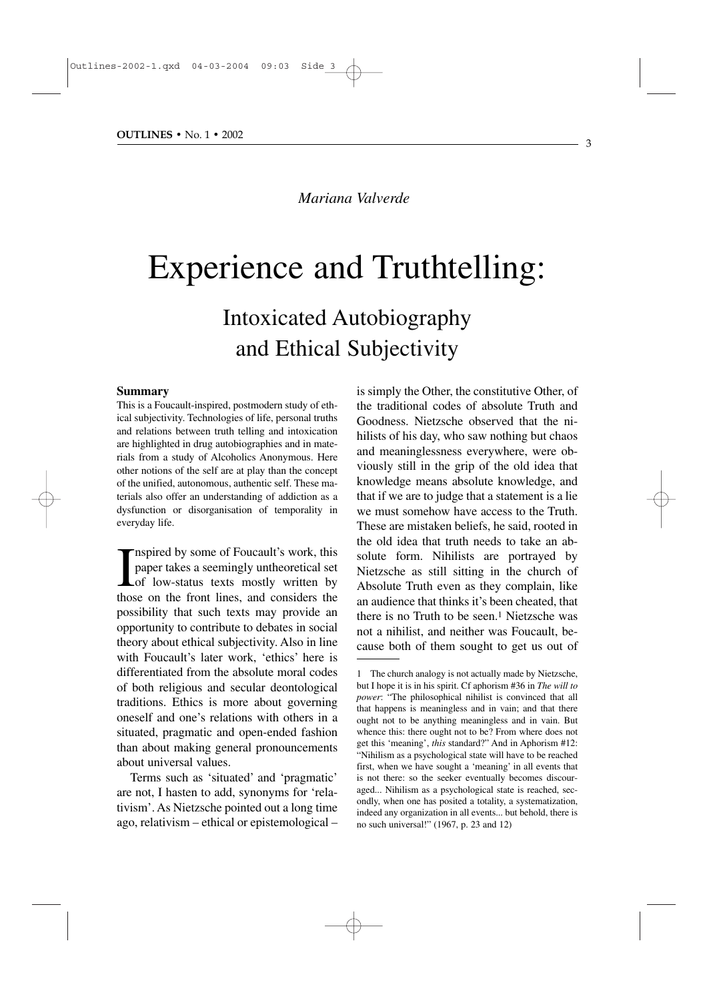*Mariana Valverde*

# Experience and Truthtelling:

## Intoxicated Autobiography and Ethical Subjectivity

#### **Summary**

This is a Foucault-inspired, postmodern study of ethical subjectivity. Technologies of life, personal truths and relations between truth telling and intoxication are highlighted in drug autobiographies and in materials from a study of Alcoholics Anonymous. Here other notions of the self are at play than the concept of the unified, autonomous, authentic self. These materials also offer an understanding of addiction as a dysfunction or disorganisation of temporality in everyday life.

Inspired by some of Foucault's work, this<br>paper takes a seemingly untheoretical set<br>of low-status texts mostly written by<br>those on the front lines, and considers the nspired by some of Foucault's work, this paper takes a seemingly untheoretical set of low-status texts mostly written by possibility that such texts may provide an opportunity to contribute to debates in social theory about ethical subjectivity. Also in line with Foucault's later work, 'ethics' here is differentiated from the absolute moral codes of both religious and secular deontological traditions. Ethics is more about governing oneself and one's relations with others in a situated, pragmatic and open-ended fashion than about making general pronouncements about universal values.

Terms such as 'situated' and 'pragmatic' are not, I hasten to add, synonyms for 'relativism'. As Nietzsche pointed out a long time ago, relativism – ethical or epistemological – is simply the Other, the constitutive Other, of the traditional codes of absolute Truth and Goodness. Nietzsche observed that the nihilists of his day, who saw nothing but chaos and meaninglessness everywhere, were obviously still in the grip of the old idea that knowledge means absolute knowledge, and that if we are to judge that a statement is a lie we must somehow have access to the Truth. These are mistaken beliefs, he said, rooted in the old idea that truth needs to take an absolute form. Nihilists are portrayed by Nietzsche as still sitting in the church of Absolute Truth even as they complain, like an audience that thinks it's been cheated, that there is no Truth to be seen.<sup>1</sup> Nietzsche was not a nihilist, and neither was Foucault, because both of them sought to get us out of

<sup>1</sup> The church analogy is not actually made by Nietzsche, but I hope it is in his spirit. Cf aphorism #36 in *The will to power*: "The philosophical nihilist is convinced that all that happens is meaningless and in vain; and that there ought not to be anything meaningless and in vain. But whence this: there ought not to be? From where does not get this 'meaning', *this* standard?" And in Aphorism #12: "Nihilism as a psychological state will have to be reached first, when we have sought a 'meaning' in all events that is not there: so the seeker eventually becomes discouraged... Nihilism as a psychological state is reached, secondly, when one has posited a totality, a systematization, indeed any organization in all events... but behold, there is no such universal!" (1967, p. 23 and 12)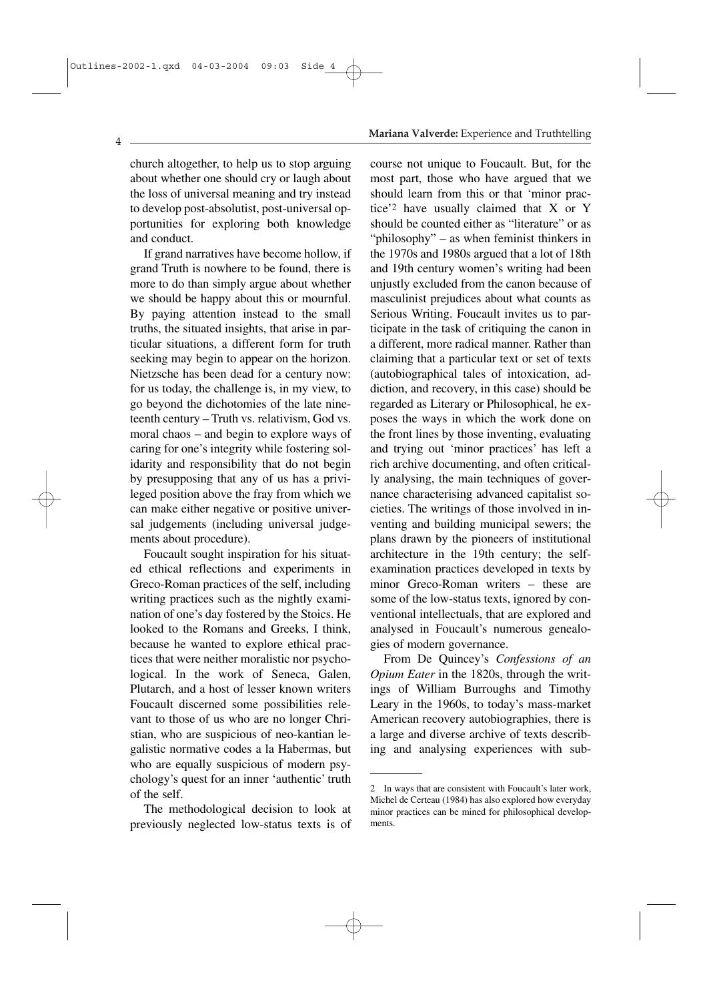### church altogether, to help us to stop arguing about whether one should cry or laugh about the loss of universal meaning and try instead to develop post-absolutist, post-universal opportunities for exploring both knowledge and conduct.

If grand narratives have become hollow, if grand Truth is nowhere to be found, there is more to do than simply argue about whether we should be happy about this or mournful. By paying attention instead to the small truths, the situated insights, that arise in particular situations, a different form for truth seeking may begin to appear on the horizon. Nietzsche has been dead for a century now: for us today, the challenge is, in my view, to go beyond the dichotomies of the late nineteenth century – Truth vs. relativism, God vs. moral chaos – and begin to explore ways of caring for one's integrity while fostering solidarity and responsibility that do not begin by presupposing that any of us has a privileged position above the fray from which we can make either negative or positive universal judgements (including universal judgements about procedure).

Foucault sought inspiration for his situated ethical reflections and experiments in Greco-Roman practices of the self, including writing practices such as the nightly examination of one's day fostered by the Stoics. He looked to the Romans and Greeks, I think, because he wanted to explore ethical practices that were neither moralistic nor psychological. In the work of Seneca, Galen, Plutarch, and a host of lesser known writers Foucault discerned some possibilities relevant to those of us who are no longer Christian, who are suspicious of neo-kantian legalistic normative codes a la Habermas, but who are equally suspicious of modern psychology's quest for an inner 'authentic' truth of the self.

The methodological decision to look at previously neglected low-status texts is of

### **Mariana Valverde:** Experience and Truthtelling

course not unique to Foucault. But, for the most part, those who have argued that we should learn from this or that 'minor practice'2 have usually claimed that X or Y should be counted either as "literature" or as "philosophy" – as when feminist thinkers in the 1970s and 1980s argued that a lot of 18th and 19th century women's writing had been unjustly excluded from the canon because of masculinist prejudices about what counts as Serious Writing. Foucault invites us to participate in the task of critiquing the canon in a different, more radical manner. Rather than claiming that a particular text or set of texts (autobiographical tales of intoxication, addiction, and recovery, in this case) should be regarded as Literary or Philosophical, he exposes the ways in which the work done on the front lines by those inventing, evaluating and trying out 'minor practices' has left a rich archive documenting, and often critically analysing, the main techniques of governance characterising advanced capitalist societies. The writings of those involved in inventing and building municipal sewers; the plans drawn by the pioneers of institutional architecture in the 19th century; the selfexamination practices developed in texts by minor Greco-Roman writers – these are some of the low-status texts, ignored by conventional intellectuals, that are explored and analysed in Foucault's numerous genealogies of modern governance.

From De Quincey's *Confessions of an Opium Eater* in the 1820s, through the writings of William Burroughs and Timothy Leary in the 1960s, to today's mass-market American recovery autobiographies, there is a large and diverse archive of texts describing and analysing experiences with sub-

 $\Delta$ 

<sup>2</sup> In ways that are consistent with Foucault's later work, Michel de Certeau (1984) has also explored how everyday minor practices can be mined for philosophical developments.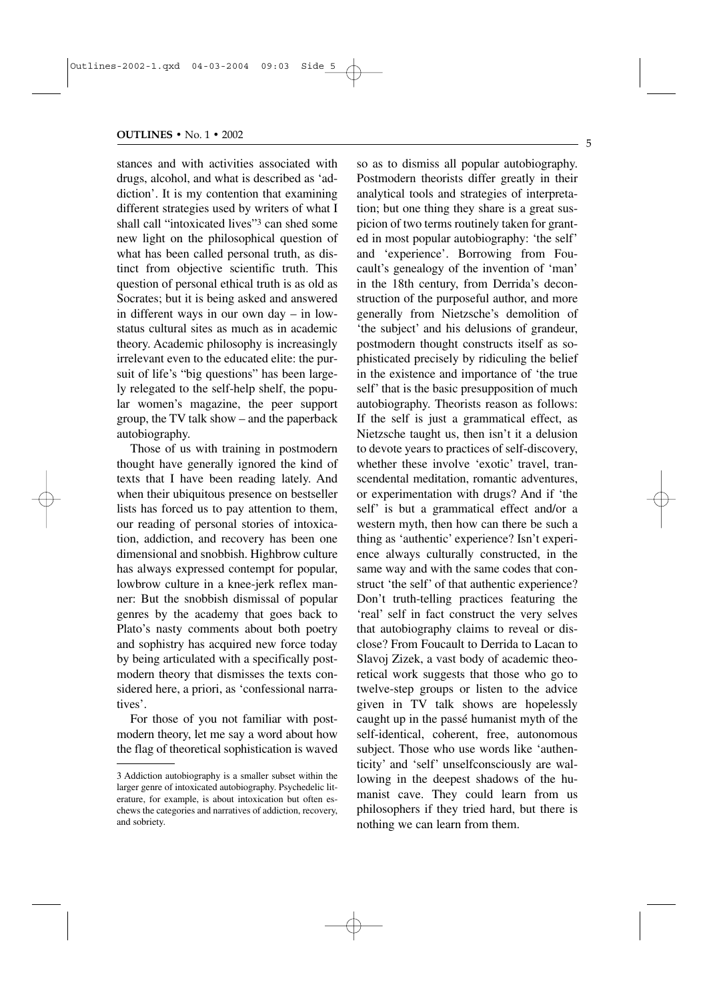stances and with activities associated with drugs, alcohol, and what is described as 'addiction'. It is my contention that examining different strategies used by writers of what I shall call "intoxicated lives"3 can shed some new light on the philosophical question of what has been called personal truth, as distinct from objective scientific truth. This question of personal ethical truth is as old as Socrates; but it is being asked and answered in different ways in our own day – in lowstatus cultural sites as much as in academic theory. Academic philosophy is increasingly irrelevant even to the educated elite: the pursuit of life's "big questions" has been largely relegated to the self-help shelf, the popular women's magazine, the peer support group, the TV talk show – and the paperback autobiography.

Those of us with training in postmodern thought have generally ignored the kind of texts that I have been reading lately. And when their ubiquitous presence on bestseller lists has forced us to pay attention to them, our reading of personal stories of intoxication, addiction, and recovery has been one dimensional and snobbish. Highbrow culture has always expressed contempt for popular, lowbrow culture in a knee-jerk reflex manner: But the snobbish dismissal of popular genres by the academy that goes back to Plato's nasty comments about both poetry and sophistry has acquired new force today by being articulated with a specifically postmodern theory that dismisses the texts considered here, a priori, as 'confessional narratives'.

For those of you not familiar with postmodern theory, let me say a word about how the flag of theoretical sophistication is waved so as to dismiss all popular autobiography. Postmodern theorists differ greatly in their analytical tools and strategies of interpretation; but one thing they share is a great suspicion of two terms routinely taken for granted in most popular autobiography: 'the self' and 'experience'. Borrowing from Foucault's genealogy of the invention of 'man' in the 18th century, from Derrida's deconstruction of the purposeful author, and more generally from Nietzsche's demolition of 'the subject' and his delusions of grandeur, postmodern thought constructs itself as sophisticated precisely by ridiculing the belief in the existence and importance of 'the true self' that is the basic presupposition of much autobiography. Theorists reason as follows: If the self is just a grammatical effect, as Nietzsche taught us, then isn't it a delusion to devote years to practices of self-discovery, whether these involve 'exotic' travel, transcendental meditation, romantic adventures, or experimentation with drugs? And if 'the self' is but a grammatical effect and/or a western myth, then how can there be such a thing as 'authentic' experience? Isn't experience always culturally constructed, in the same way and with the same codes that construct 'the self' of that authentic experience? Don't truth-telling practices featuring the 'real' self in fact construct the very selves that autobiography claims to reveal or disclose? From Foucault to Derrida to Lacan to Slavoj Zizek, a vast body of academic theoretical work suggests that those who go to twelve-step groups or listen to the advice given in TV talk shows are hopelessly caught up in the passé humanist myth of the self-identical, coherent, free, autonomous subject. Those who use words like 'authenticity' and 'self' unselfconsciously are wallowing in the deepest shadows of the humanist cave. They could learn from us philosophers if they tried hard, but there is nothing we can learn from them.

<sup>3</sup> Addiction autobiography is a smaller subset within the larger genre of intoxicated autobiography. Psychedelic literature, for example, is about intoxication but often eschews the categories and narratives of addiction, recovery, and sobriety.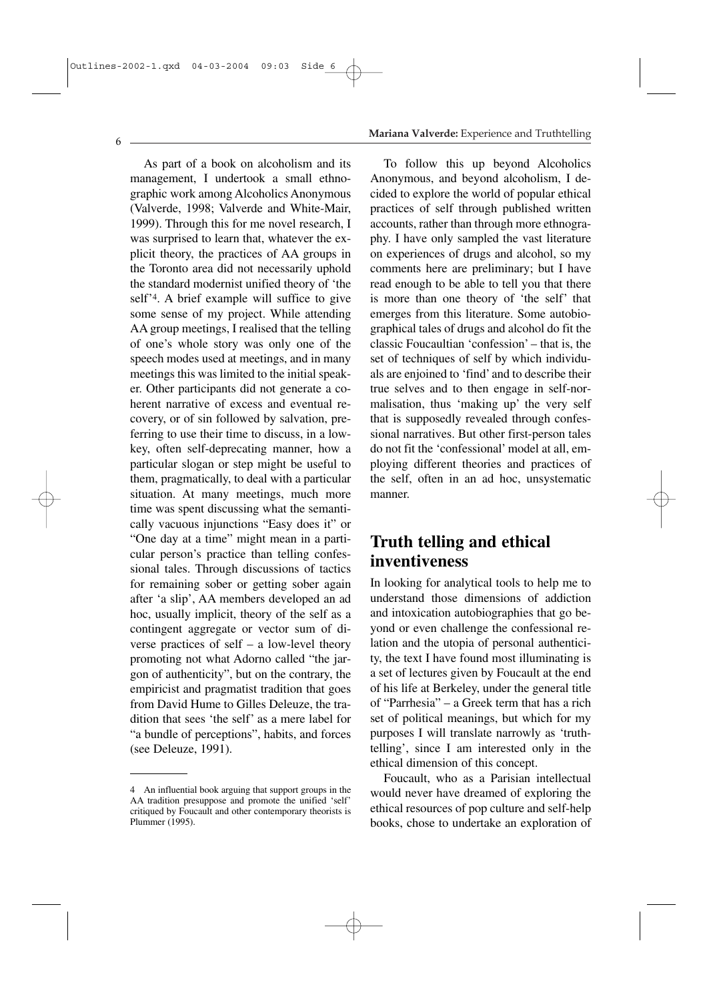As part of a book on alcoholism and its management, I undertook a small ethnographic work among Alcoholics Anonymous (Valverde, 1998; Valverde and White-Mair, 1999). Through this for me novel research, I was surprised to learn that, whatever the explicit theory, the practices of AA groups in the Toronto area did not necessarily uphold the standard modernist unified theory of 'the self'4. A brief example will suffice to give some sense of my project. While attending AA group meetings, I realised that the telling of one's whole story was only one of the speech modes used at meetings, and in many meetings this was limited to the initial speaker. Other participants did not generate a coherent narrative of excess and eventual recovery, or of sin followed by salvation, preferring to use their time to discuss, in a lowkey, often self-deprecating manner, how a particular slogan or step might be useful to them, pragmatically, to deal with a particular situation. At many meetings, much more time was spent discussing what the semantically vacuous injunctions "Easy does it" or "One day at a time" might mean in a particular person's practice than telling confessional tales. Through discussions of tactics for remaining sober or getting sober again after 'a slip', AA members developed an ad hoc, usually implicit, theory of the self as a contingent aggregate or vector sum of diverse practices of self – a low-level theory promoting not what Adorno called "the jargon of authenticity", but on the contrary, the empiricist and pragmatist tradition that goes from David Hume to Gilles Deleuze, the tradition that sees 'the self' as a mere label for "a bundle of perceptions", habits, and forces (see Deleuze, 1991).

### **Mariana Valverde:** Experience and Truthtelling

To follow this up beyond Alcoholics Anonymous, and beyond alcoholism, I decided to explore the world of popular ethical practices of self through published written accounts, rather than through more ethnography. I have only sampled the vast literature on experiences of drugs and alcohol, so my comments here are preliminary; but I have read enough to be able to tell you that there is more than one theory of 'the self' that emerges from this literature. Some autobiographical tales of drugs and alcohol do fit the classic Foucaultian 'confession' – that is, the set of techniques of self by which individuals are enjoined to 'find' and to describe their true selves and to then engage in self-normalisation, thus 'making up' the very self that is supposedly revealed through confessional narratives. But other first-person tales do not fit the 'confessional' model at all, employing different theories and practices of the self, often in an ad hoc, unsystematic manner.

### **Truth telling and ethical inventiveness**

In looking for analytical tools to help me to understand those dimensions of addiction and intoxication autobiographies that go beyond or even challenge the confessional relation and the utopia of personal authenticity, the text I have found most illuminating is a set of lectures given by Foucault at the end of his life at Berkeley, under the general title of "Parrhesia" – a Greek term that has a rich set of political meanings, but which for my purposes I will translate narrowly as 'truthtelling', since I am interested only in the ethical dimension of this concept.

Foucault, who as a Parisian intellectual would never have dreamed of exploring the ethical resources of pop culture and self-help books, chose to undertake an exploration of

<sup>4</sup> An influential book arguing that support groups in the AA tradition presuppose and promote the unified 'self' critiqued by Foucault and other contemporary theorists is Plummer (1995).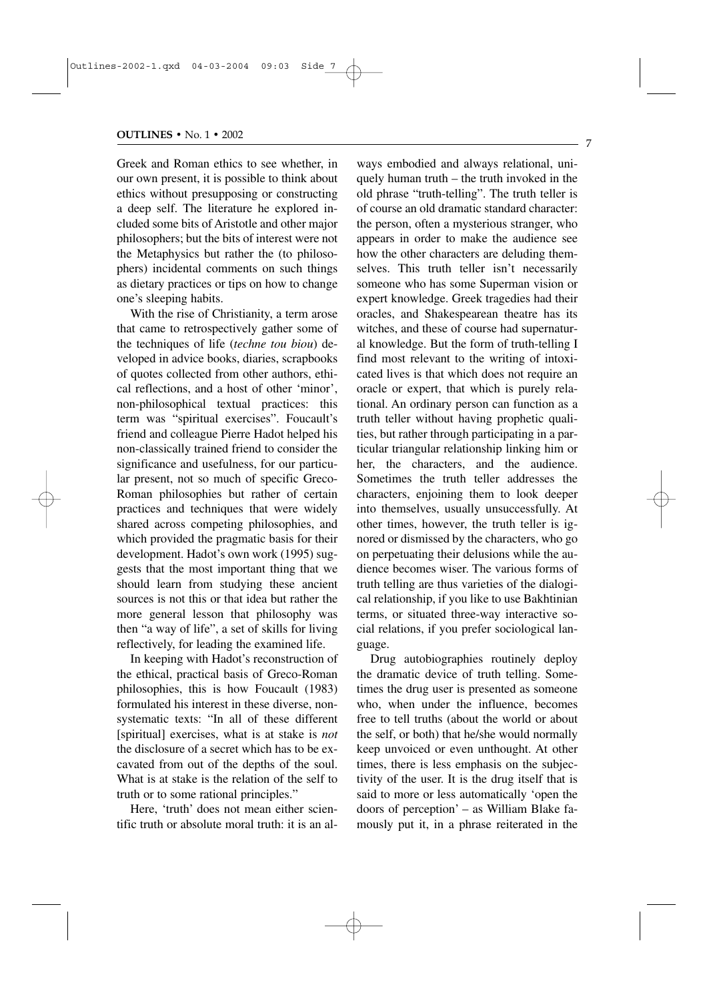Greek and Roman ethics to see whether, in our own present, it is possible to think about ethics without presupposing or constructing a deep self. The literature he explored included some bits of Aristotle and other major philosophers; but the bits of interest were not the Metaphysics but rather the (to philosophers) incidental comments on such things as dietary practices or tips on how to change one's sleeping habits.

With the rise of Christianity, a term arose that came to retrospectively gather some of the techniques of life (*techne tou biou*) developed in advice books, diaries, scrapbooks of quotes collected from other authors, ethical reflections, and a host of other 'minor', non-philosophical textual practices: this term was "spiritual exercises". Foucault's friend and colleague Pierre Hadot helped his non-classically trained friend to consider the significance and usefulness, for our particular present, not so much of specific Greco-Roman philosophies but rather of certain practices and techniques that were widely shared across competing philosophies, and which provided the pragmatic basis for their development. Hadot's own work (1995) suggests that the most important thing that we should learn from studying these ancient sources is not this or that idea but rather the more general lesson that philosophy was then "a way of life", a set of skills for living reflectively, for leading the examined life.

In keeping with Hadot's reconstruction of the ethical, practical basis of Greco-Roman philosophies, this is how Foucault (1983) formulated his interest in these diverse, nonsystematic texts: "In all of these different [spiritual] exercises, what is at stake is *not* the disclosure of a secret which has to be excavated from out of the depths of the soul. What is at stake is the relation of the self to truth or to some rational principles."

Here, 'truth' does not mean either scientific truth or absolute moral truth: it is an always embodied and always relational, uniquely human truth – the truth invoked in the old phrase "truth-telling". The truth teller is of course an old dramatic standard character: the person, often a mysterious stranger, who appears in order to make the audience see how the other characters are deluding themselves. This truth teller isn't necessarily someone who has some Superman vision or expert knowledge. Greek tragedies had their oracles, and Shakespearean theatre has its witches, and these of course had supernatural knowledge. But the form of truth-telling I find most relevant to the writing of intoxicated lives is that which does not require an oracle or expert, that which is purely relational. An ordinary person can function as a truth teller without having prophetic qualities, but rather through participating in a particular triangular relationship linking him or her, the characters, and the audience. Sometimes the truth teller addresses the characters, enjoining them to look deeper into themselves, usually unsuccessfully. At other times, however, the truth teller is ignored or dismissed by the characters, who go on perpetuating their delusions while the audience becomes wiser. The various forms of truth telling are thus varieties of the dialogical relationship, if you like to use Bakhtinian terms, or situated three-way interactive social relations, if you prefer sociological language.

Drug autobiographies routinely deploy the dramatic device of truth telling. Sometimes the drug user is presented as someone who, when under the influence, becomes free to tell truths (about the world or about the self, or both) that he/she would normally keep unvoiced or even unthought. At other times, there is less emphasis on the subjectivity of the user. It is the drug itself that is said to more or less automatically 'open the doors of perception' – as William Blake famously put it, in a phrase reiterated in the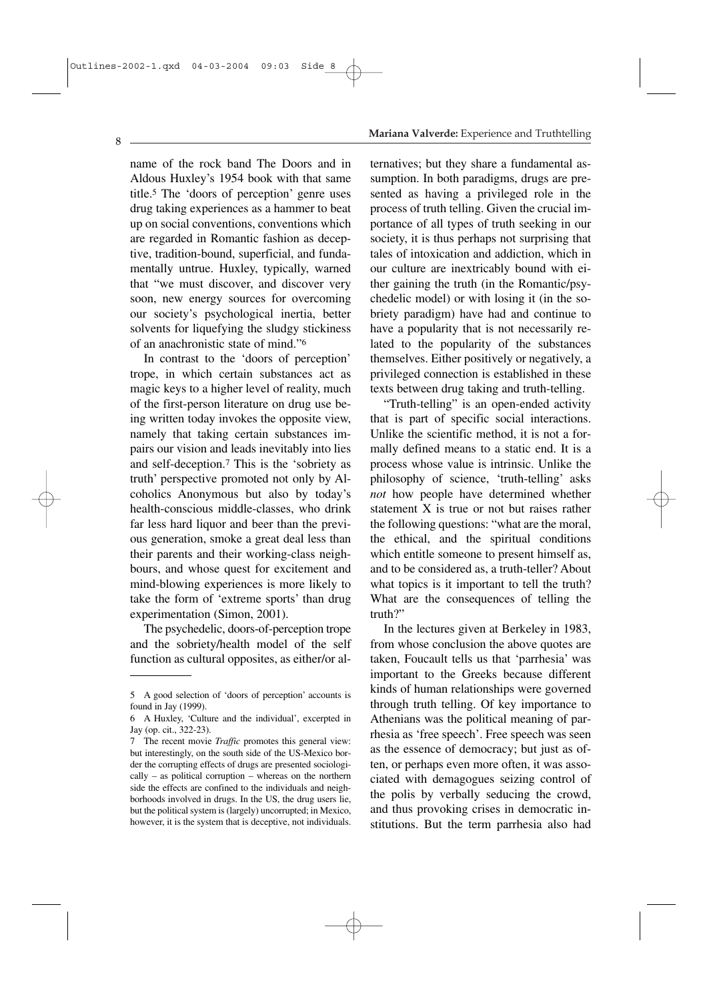name of the rock band The Doors and in Aldous Huxley's 1954 book with that same title.5 The 'doors of perception' genre uses drug taking experiences as a hammer to beat up on social conventions, conventions which are regarded in Romantic fashion as deceptive, tradition-bound, superficial, and fundamentally untrue. Huxley, typically, warned that "we must discover, and discover very soon, new energy sources for overcoming our society's psychological inertia, better solvents for liquefying the sludgy stickiness of an anachronistic state of mind."6

In contrast to the 'doors of perception' trope, in which certain substances act as magic keys to a higher level of reality, much of the first-person literature on drug use being written today invokes the opposite view, namely that taking certain substances impairs our vision and leads inevitably into lies and self-deception.7 This is the 'sobriety as truth' perspective promoted not only by Alcoholics Anonymous but also by today's health-conscious middle-classes, who drink far less hard liquor and beer than the previous generation, smoke a great deal less than their parents and their working-class neighbours, and whose quest for excitement and mind-blowing experiences is more likely to take the form of 'extreme sports' than drug experimentation (Simon, 2001).

The psychedelic, doors-of-perception trope and the sobriety/health model of the self function as cultural opposites, as either/or al-

### **Mariana Valverde:** Experience and Truthtelling

ternatives; but they share a fundamental assumption. In both paradigms, drugs are presented as having a privileged role in the process of truth telling. Given the crucial importance of all types of truth seeking in our society, it is thus perhaps not surprising that tales of intoxication and addiction, which in our culture are inextricably bound with either gaining the truth (in the Romantic/psychedelic model) or with losing it (in the sobriety paradigm) have had and continue to have a popularity that is not necessarily related to the popularity of the substances themselves. Either positively or negatively, a privileged connection is established in these texts between drug taking and truth-telling.

"Truth-telling" is an open-ended activity that is part of specific social interactions. Unlike the scientific method, it is not a formally defined means to a static end. It is a process whose value is intrinsic. Unlike the philosophy of science, 'truth-telling' asks *not* how people have determined whether statement X is true or not but raises rather the following questions: "what are the moral, the ethical, and the spiritual conditions which entitle someone to present himself as, and to be considered as, a truth-teller? About what topics is it important to tell the truth? What are the consequences of telling the truth?"

In the lectures given at Berkeley in 1983, from whose conclusion the above quotes are taken, Foucault tells us that 'parrhesia' was important to the Greeks because different kinds of human relationships were governed through truth telling. Of key importance to Athenians was the political meaning of parrhesia as 'free speech'. Free speech was seen as the essence of democracy; but just as often, or perhaps even more often, it was associated with demagogues seizing control of the polis by verbally seducing the crowd, and thus provoking crises in democratic institutions. But the term parrhesia also had

<sup>5</sup> A good selection of 'doors of perception' accounts is found in Jay (1999).

<sup>6</sup> A Huxley, 'Culture and the individual', excerpted in Jay (op. cit., 322-23).

<sup>7</sup> The recent movie *Traffic* promotes this general view: but interestingly, on the south side of the US-Mexico border the corrupting effects of drugs are presented sociologically – as political corruption – whereas on the northern side the effects are confined to the individuals and neighborhoods involved in drugs. In the US, the drug users lie, but the political system is (largely) uncorrupted; in Mexico, however, it is the system that is deceptive, not individuals.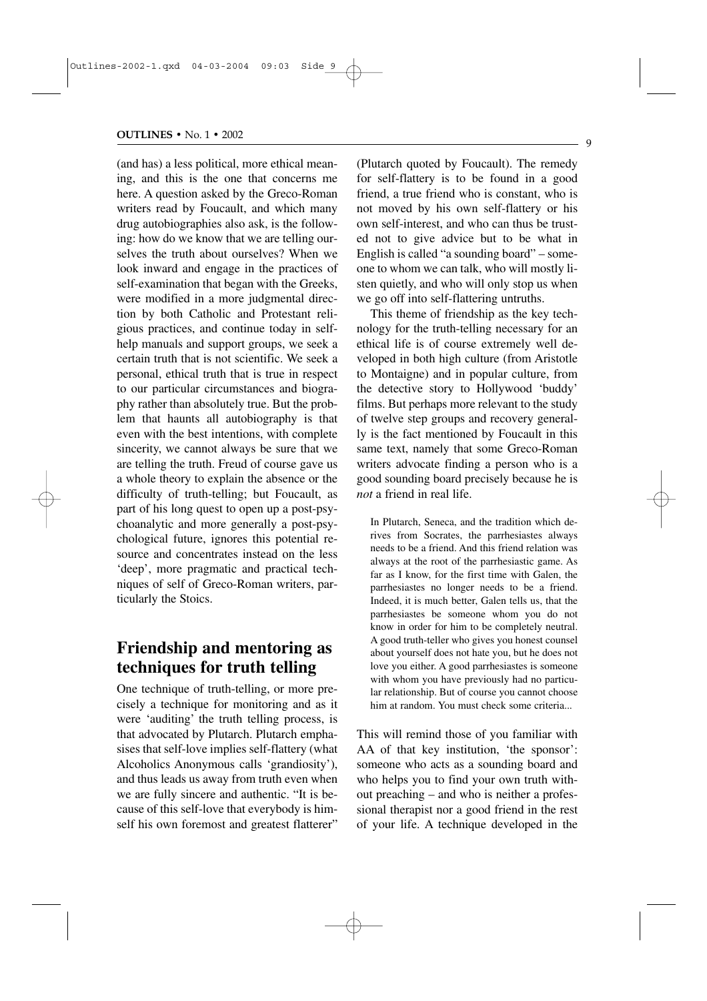(and has) a less political, more ethical meaning, and this is the one that concerns me here. A question asked by the Greco-Roman writers read by Foucault, and which many drug autobiographies also ask, is the following: how do we know that we are telling ourselves the truth about ourselves? When we look inward and engage in the practices of self-examination that began with the Greeks, were modified in a more judgmental direction by both Catholic and Protestant religious practices, and continue today in selfhelp manuals and support groups, we seek a certain truth that is not scientific. We seek a personal, ethical truth that is true in respect to our particular circumstances and biography rather than absolutely true. But the problem that haunts all autobiography is that even with the best intentions, with complete sincerity, we cannot always be sure that we are telling the truth. Freud of course gave us a whole theory to explain the absence or the difficulty of truth-telling; but Foucault, as part of his long quest to open up a post-psychoanalytic and more generally a post-psychological future, ignores this potential resource and concentrates instead on the less 'deep', more pragmatic and practical techniques of self of Greco-Roman writers, particularly the Stoics.

### **Friendship and mentoring as techniques for truth telling**

One technique of truth-telling, or more precisely a technique for monitoring and as it were 'auditing' the truth telling process, is that advocated by Plutarch. Plutarch emphasises that self-love implies self-flattery (what Alcoholics Anonymous calls 'grandiosity'), and thus leads us away from truth even when we are fully sincere and authentic. "It is because of this self-love that everybody is himself his own foremost and greatest flatterer" (Plutarch quoted by Foucault). The remedy for self-flattery is to be found in a good friend, a true friend who is constant, who is not moved by his own self-flattery or his own self-interest, and who can thus be trusted not to give advice but to be what in English is called "a sounding board" – someone to whom we can talk, who will mostly listen quietly, and who will only stop us when we go off into self-flattering untruths.

This theme of friendship as the key technology for the truth-telling necessary for an ethical life is of course extremely well developed in both high culture (from Aristotle to Montaigne) and in popular culture, from the detective story to Hollywood 'buddy' films. But perhaps more relevant to the study of twelve step groups and recovery generally is the fact mentioned by Foucault in this same text, namely that some Greco-Roman writers advocate finding a person who is a good sounding board precisely because he is *not* a friend in real life.

In Plutarch, Seneca, and the tradition which derives from Socrates, the parrhesiastes always needs to be a friend. And this friend relation was always at the root of the parrhesiastic game. As far as I know, for the first time with Galen, the parrhesiastes no longer needs to be a friend. Indeed, it is much better, Galen tells us, that the parrhesiastes be someone whom you do not know in order for him to be completely neutral. A good truth-teller who gives you honest counsel about yourself does not hate you, but he does not love you either. A good parrhesiastes is someone with whom you have previously had no particular relationship. But of course you cannot choose him at random. You must check some criteria...

This will remind those of you familiar with AA of that key institution, 'the sponsor': someone who acts as a sounding board and who helps you to find your own truth without preaching – and who is neither a professional therapist nor a good friend in the rest of your life. A technique developed in the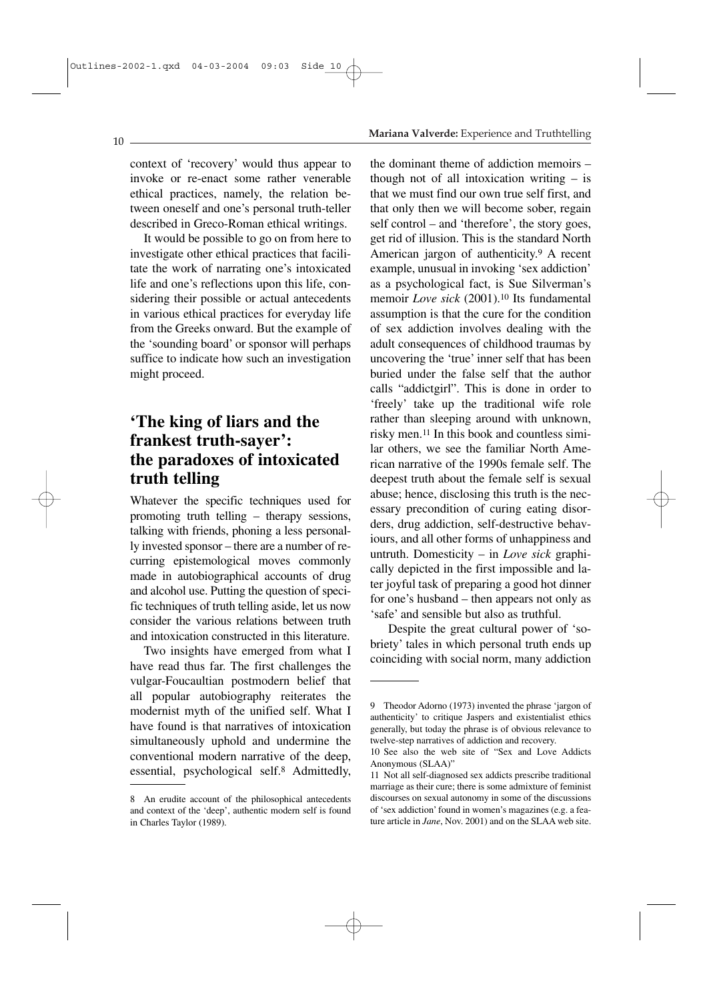#### **Mariana Valverde:** Experience and Truthtelling

context of 'recovery' would thus appear to invoke or re-enact some rather venerable ethical practices, namely, the relation between oneself and one's personal truth-teller described in Greco-Roman ethical writings.

It would be possible to go on from here to investigate other ethical practices that facilitate the work of narrating one's intoxicated life and one's reflections upon this life, considering their possible or actual antecedents in various ethical practices for everyday life from the Greeks onward. But the example of the 'sounding board' or sponsor will perhaps suffice to indicate how such an investigation might proceed.

### **'The king of liars and the frankest truth-sayer': the paradoxes of intoxicated truth telling**

Whatever the specific techniques used for promoting truth telling – therapy sessions, talking with friends, phoning a less personally invested sponsor – there are a number of recurring epistemological moves commonly made in autobiographical accounts of drug and alcohol use. Putting the question of specific techniques of truth telling aside, let us now consider the various relations between truth and intoxication constructed in this literature.

Two insights have emerged from what I have read thus far. The first challenges the vulgar-Foucaultian postmodern belief that all popular autobiography reiterates the modernist myth of the unified self. What I have found is that narratives of intoxication simultaneously uphold and undermine the conventional modern narrative of the deep, essential, psychological self.8 Admittedly, the dominant theme of addiction memoirs – though not of all intoxication writing – is that we must find our own true self first, and that only then we will become sober, regain self control – and 'therefore', the story goes, get rid of illusion. This is the standard North American jargon of authenticity.9 A recent example, unusual in invoking 'sex addiction' as a psychological fact, is Sue Silverman's memoir *Love sick* (2001).10 Its fundamental assumption is that the cure for the condition of sex addiction involves dealing with the adult consequences of childhood traumas by uncovering the 'true' inner self that has been buried under the false self that the author calls "addictgirl". This is done in order to 'freely' take up the traditional wife role rather than sleeping around with unknown, risky men.11 In this book and countless similar others, we see the familiar North American narrative of the 1990s female self. The deepest truth about the female self is sexual abuse; hence, disclosing this truth is the necessary precondition of curing eating disorders, drug addiction, self-destructive behaviours, and all other forms of unhappiness and untruth. Domesticity – in *Love sick* graphically depicted in the first impossible and later joyful task of preparing a good hot dinner for one's husband – then appears not only as 'safe' and sensible but also as truthful.

Despite the great cultural power of 'sobriety' tales in which personal truth ends up coinciding with social norm, many addiction

 $10$ .

<sup>8</sup> An erudite account of the philosophical antecedents and context of the 'deep', authentic modern self is found in Charles Taylor (1989).

<sup>9</sup> Theodor Adorno (1973) invented the phrase 'jargon of authenticity' to critique Jaspers and existentialist ethics generally, but today the phrase is of obvious relevance to twelve-step narratives of addiction and recovery.

<sup>10</sup> See also the web site of "Sex and Love Addicts Anonymous (SLAA)"

<sup>11</sup> Not all self-diagnosed sex addicts prescribe traditional marriage as their cure; there is some admixture of feminist discourses on sexual autonomy in some of the discussions of 'sex addiction' found in women's magazines (e.g. a feature article in *Jane*, Nov. 2001) and on the SLAA web site.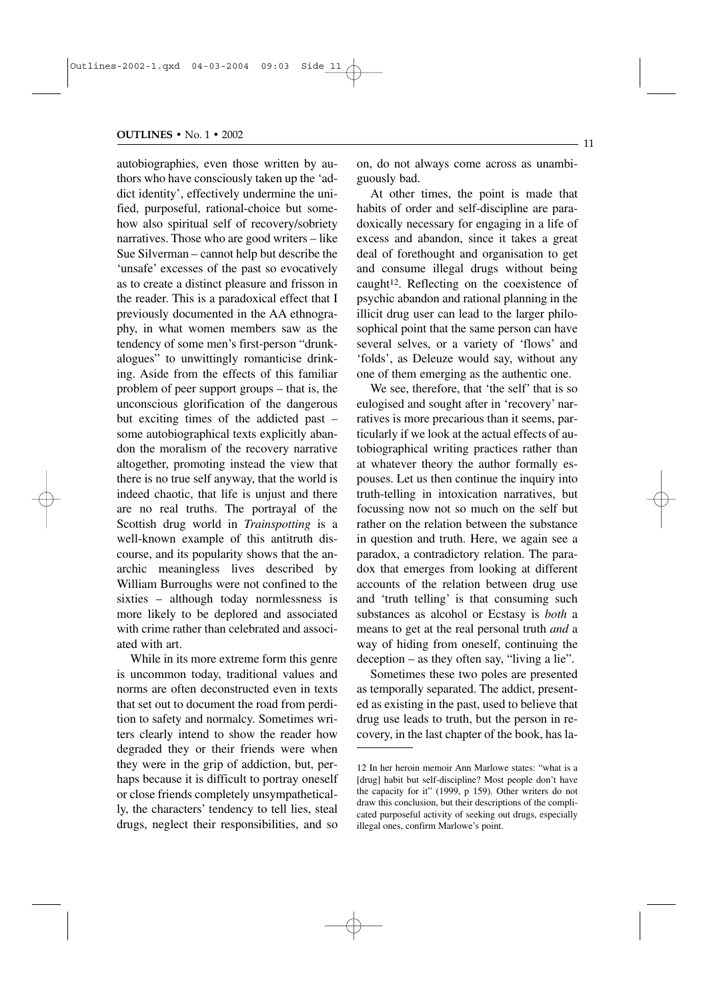autobiographies, even those written by authors who have consciously taken up the 'addict identity', effectively undermine the unified, purposeful, rational-choice but somehow also spiritual self of recovery/sobriety narratives. Those who are good writers – like Sue Silverman – cannot help but describe the 'unsafe' excesses of the past so evocatively as to create a distinct pleasure and frisson in the reader. This is a paradoxical effect that I previously documented in the AA ethnography, in what women members saw as the tendency of some men's first-person "drunkalogues" to unwittingly romanticise drinking. Aside from the effects of this familiar problem of peer support groups – that is, the unconscious glorification of the dangerous but exciting times of the addicted past – some autobiographical texts explicitly abandon the moralism of the recovery narrative altogether, promoting instead the view that there is no true self anyway, that the world is indeed chaotic, that life is unjust and there are no real truths. The portrayal of the Scottish drug world in *Trainspotting* is a well-known example of this antitruth discourse, and its popularity shows that the anarchic meaningless lives described by William Burroughs were not confined to the sixties – although today normlessness is more likely to be deplored and associated with crime rather than celebrated and associated with art.

While in its more extreme form this genre is uncommon today, traditional values and norms are often deconstructed even in texts that set out to document the road from perdition to safety and normalcy. Sometimes writers clearly intend to show the reader how degraded they or their friends were when they were in the grip of addiction, but, perhaps because it is difficult to portray oneself or close friends completely unsympathetically, the characters' tendency to tell lies, steal drugs, neglect their responsibilities, and so on, do not always come across as unambiguously bad.

At other times, the point is made that habits of order and self-discipline are paradoxically necessary for engaging in a life of excess and abandon, since it takes a great deal of forethought and organisation to get and consume illegal drugs without being caught<sup>12</sup>. Reflecting on the coexistence of psychic abandon and rational planning in the illicit drug user can lead to the larger philosophical point that the same person can have several selves, or a variety of 'flows' and 'folds', as Deleuze would say, without any one of them emerging as the authentic one.

We see, therefore, that 'the self' that is so eulogised and sought after in 'recovery' narratives is more precarious than it seems, particularly if we look at the actual effects of autobiographical writing practices rather than at whatever theory the author formally espouses. Let us then continue the inquiry into truth-telling in intoxication narratives, but focussing now not so much on the self but rather on the relation between the substance in question and truth. Here, we again see a paradox, a contradictory relation. The paradox that emerges from looking at different accounts of the relation between drug use and 'truth telling' is that consuming such substances as alcohol or Ecstasy is *both* a means to get at the real personal truth *and* a way of hiding from oneself, continuing the deception – as they often say, "living a lie".

Sometimes these two poles are presented as temporally separated. The addict, presented as existing in the past, used to believe that drug use leads to truth, but the person in recovery, in the last chapter of the book, has la-

- 11

<sup>12</sup> In her heroin memoir Ann Marlowe states: "what is a [drug] habit but self-discipline? Most people don't have the capacity for it" (1999, p 159). Other writers do not draw this conclusion, but their descriptions of the complicated purposeful activity of seeking out drugs, especially illegal ones, confirm Marlowe's point.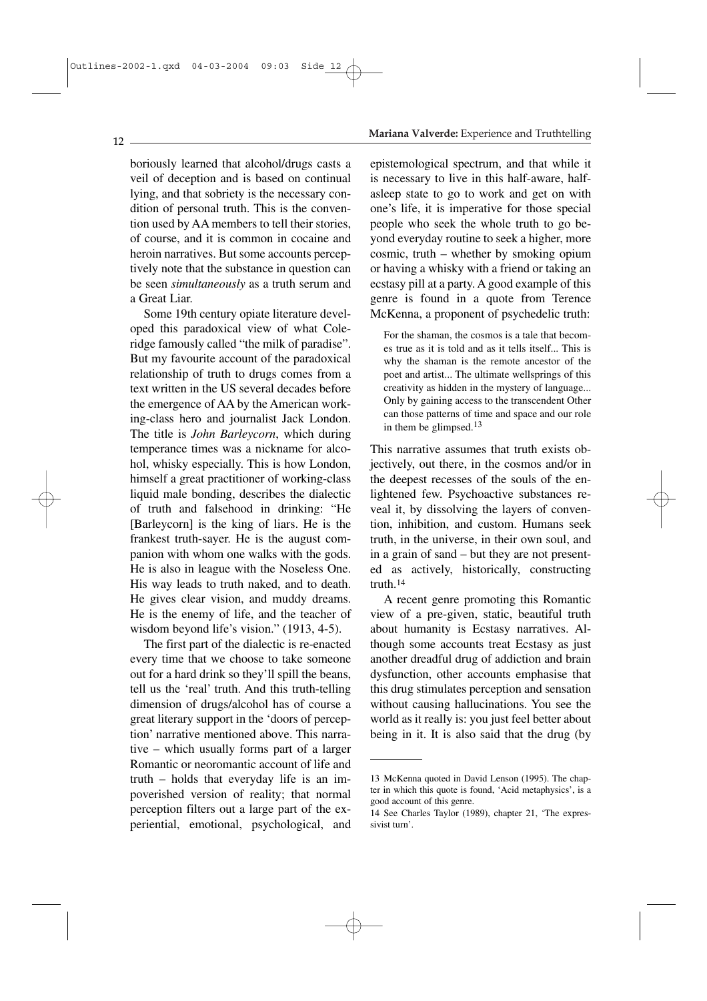#### **Mariana Valverde:** Experience and Truthtelling

boriously learned that alcohol/drugs casts a veil of deception and is based on continual lying, and that sobriety is the necessary condition of personal truth. This is the convention used by AA members to tell their stories, of course, and it is common in cocaine and heroin narratives. But some accounts perceptively note that the substance in question can be seen *simultaneously* as a truth serum and a Great Liar.

Some 19th century opiate literature developed this paradoxical view of what Coleridge famously called "the milk of paradise". But my favourite account of the paradoxical relationship of truth to drugs comes from a text written in the US several decades before the emergence of AA by the American working-class hero and journalist Jack London. The title is *John Barleycorn*, which during temperance times was a nickname for alcohol, whisky especially. This is how London, himself a great practitioner of working-class liquid male bonding, describes the dialectic of truth and falsehood in drinking: "He [Barleycorn] is the king of liars. He is the frankest truth-sayer. He is the august companion with whom one walks with the gods. He is also in league with the Noseless One. His way leads to truth naked, and to death. He gives clear vision, and muddy dreams. He is the enemy of life, and the teacher of wisdom beyond life's vision." (1913, 4-5).

The first part of the dialectic is re-enacted every time that we choose to take someone out for a hard drink so they'll spill the beans, tell us the 'real' truth. And this truth-telling dimension of drugs/alcohol has of course a great literary support in the 'doors of perception' narrative mentioned above. This narrative – which usually forms part of a larger Romantic or neoromantic account of life and truth – holds that everyday life is an impoverished version of reality; that normal perception filters out a large part of the experiential, emotional, psychological, and epistemological spectrum, and that while it is necessary to live in this half-aware, halfasleep state to go to work and get on with one's life, it is imperative for those special people who seek the whole truth to go beyond everyday routine to seek a higher, more cosmic, truth – whether by smoking opium or having a whisky with a friend or taking an ecstasy pill at a party. A good example of this genre is found in a quote from Terence McKenna, a proponent of psychedelic truth:

For the shaman, the cosmos is a tale that becomes true as it is told and as it tells itself... This is why the shaman is the remote ancestor of the poet and artist... The ultimate wellsprings of this creativity as hidden in the mystery of language... Only by gaining access to the transcendent Other can those patterns of time and space and our role in them be glimpsed.<sup>13</sup>

This narrative assumes that truth exists objectively, out there, in the cosmos and/or in the deepest recesses of the souls of the enlightened few. Psychoactive substances reveal it, by dissolving the layers of convention, inhibition, and custom. Humans seek truth, in the universe, in their own soul, and in a grain of sand – but they are not presented as actively, historically, constructing truth.14

A recent genre promoting this Romantic view of a pre-given, static, beautiful truth about humanity is Ecstasy narratives. Although some accounts treat Ecstasy as just another dreadful drug of addiction and brain dysfunction, other accounts emphasise that this drug stimulates perception and sensation without causing hallucinations. You see the world as it really is: you just feel better about being in it. It is also said that the drug (by

 $12<sub>12</sub>$ 

<sup>13</sup> McKenna quoted in David Lenson (1995). The chapter in which this quote is found, 'Acid metaphysics', is a good account of this genre.

<sup>14</sup> See Charles Taylor (1989), chapter 21, 'The expressivist turn'.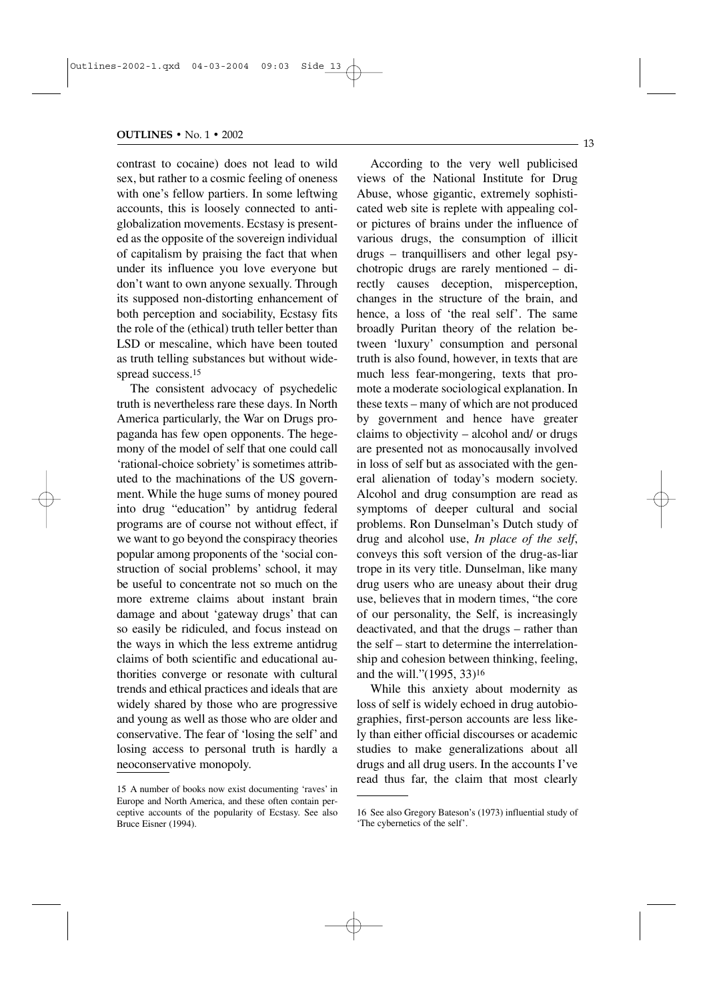contrast to cocaine) does not lead to wild sex, but rather to a cosmic feeling of oneness with one's fellow partiers. In some leftwing accounts, this is loosely connected to antiglobalization movements. Ecstasy is presented as the opposite of the sovereign individual of capitalism by praising the fact that when under its influence you love everyone but don't want to own anyone sexually. Through its supposed non-distorting enhancement of both perception and sociability, Ecstasy fits the role of the (ethical) truth teller better than LSD or mescaline, which have been touted as truth telling substances but without widespread success.<sup>15</sup>

The consistent advocacy of psychedelic truth is nevertheless rare these days. In North America particularly, the War on Drugs propaganda has few open opponents. The hegemony of the model of self that one could call 'rational-choice sobriety' is sometimes attributed to the machinations of the US government. While the huge sums of money poured into drug "education" by antidrug federal programs are of course not without effect, if we want to go beyond the conspiracy theories popular among proponents of the 'social construction of social problems' school, it may be useful to concentrate not so much on the more extreme claims about instant brain damage and about 'gateway drugs' that can so easily be ridiculed, and focus instead on the ways in which the less extreme antidrug claims of both scientific and educational authorities converge or resonate with cultural trends and ethical practices and ideals that are widely shared by those who are progressive and young as well as those who are older and conservative. The fear of 'losing the self' and losing access to personal truth is hardly a neoconservative monopoly.

According to the very well publicised views of the National Institute for Drug Abuse, whose gigantic, extremely sophisticated web site is replete with appealing color pictures of brains under the influence of various drugs, the consumption of illicit drugs – tranquillisers and other legal psychotropic drugs are rarely mentioned – directly causes deception, misperception, changes in the structure of the brain, and hence, a loss of 'the real self'. The same broadly Puritan theory of the relation between 'luxury' consumption and personal truth is also found, however, in texts that are much less fear-mongering, texts that promote a moderate sociological explanation. In these texts – many of which are not produced by government and hence have greater claims to objectivity – alcohol and/ or drugs are presented not as monocausally involved in loss of self but as associated with the general alienation of today's modern society. Alcohol and drug consumption are read as symptoms of deeper cultural and social problems. Ron Dunselman's Dutch study of drug and alcohol use, *In place of the self*, conveys this soft version of the drug-as-liar trope in its very title. Dunselman, like many drug users who are uneasy about their drug use, believes that in modern times, "the core of our personality, the Self, is increasingly deactivated, and that the drugs – rather than the self – start to determine the interrelationship and cohesion between thinking, feeling, and the will."(1995, 33)16

While this anxiety about modernity as loss of self is widely echoed in drug autobiographies, first-person accounts are less likely than either official discourses or academic studies to make generalizations about all drugs and all drug users. In the accounts I've read thus far, the claim that most clearly

- 13

<sup>15</sup> A number of books now exist documenting 'raves' in Europe and North America, and these often contain perceptive accounts of the popularity of Ecstasy. See also Bruce Eisner (1994).

<sup>16</sup> See also Gregory Bateson's (1973) influential study of 'The cybernetics of the self'.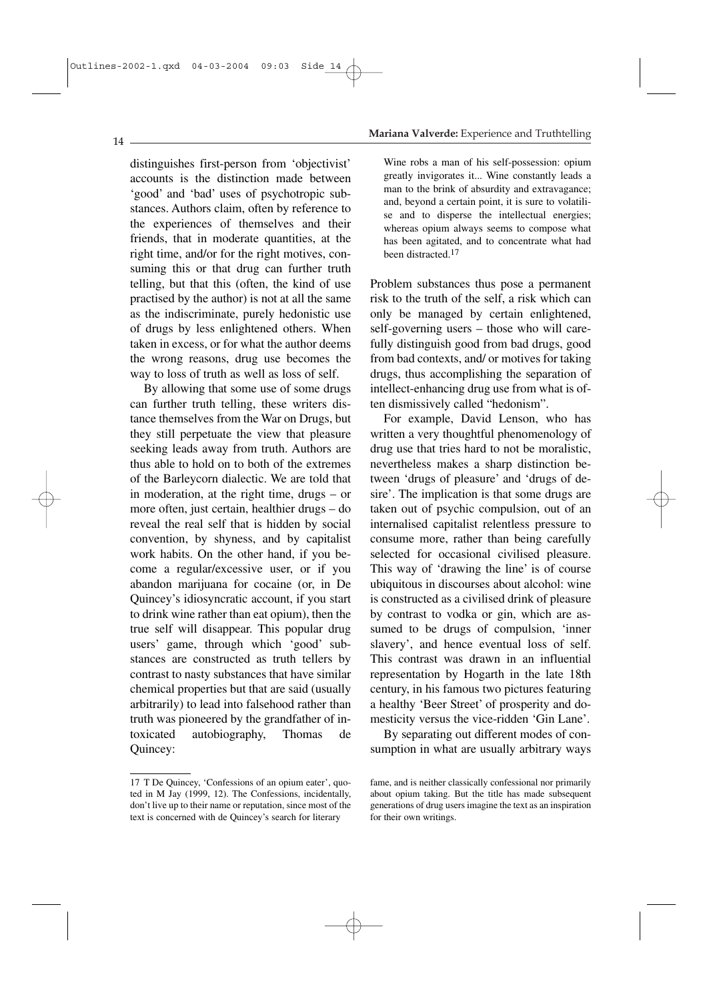distinguishes first-person from 'objectivist' accounts is the distinction made between 'good' and 'bad' uses of psychotropic substances. Authors claim, often by reference to the experiences of themselves and their friends, that in moderate quantities, at the right time, and/or for the right motives, consuming this or that drug can further truth telling, but that this (often, the kind of use practised by the author) is not at all the same as the indiscriminate, purely hedonistic use of drugs by less enlightened others. When taken in excess, or for what the author deems the wrong reasons, drug use becomes the way to loss of truth as well as loss of self.

By allowing that some use of some drugs can further truth telling, these writers distance themselves from the War on Drugs, but they still perpetuate the view that pleasure seeking leads away from truth. Authors are thus able to hold on to both of the extremes of the Barleycorn dialectic. We are told that in moderation, at the right time, drugs – or more often, just certain, healthier drugs – do reveal the real self that is hidden by social convention, by shyness, and by capitalist work habits. On the other hand, if you become a regular/excessive user, or if you abandon marijuana for cocaine (or, in De Quincey's idiosyncratic account, if you start to drink wine rather than eat opium), then the true self will disappear. This popular drug users' game, through which 'good' substances are constructed as truth tellers by contrast to nasty substances that have similar chemical properties but that are said (usually arbitrarily) to lead into falsehood rather than truth was pioneered by the grandfather of intoxicated autobiography, Thomas de Quincey:

### **Mariana Valverde:** Experience and Truthtelling

Wine robs a man of his self-possession: opium greatly invigorates it... Wine constantly leads a man to the brink of absurdity and extravagance; and, beyond a certain point, it is sure to volatilise and to disperse the intellectual energies; whereas opium always seems to compose what has been agitated, and to concentrate what had been distracted.17

Problem substances thus pose a permanent risk to the truth of the self, a risk which can only be managed by certain enlightened, self-governing users – those who will carefully distinguish good from bad drugs, good from bad contexts, and/ or motives for taking drugs, thus accomplishing the separation of intellect-enhancing drug use from what is often dismissively called "hedonism".

For example, David Lenson, who has written a very thoughtful phenomenology of drug use that tries hard to not be moralistic, nevertheless makes a sharp distinction between 'drugs of pleasure' and 'drugs of desire'. The implication is that some drugs are taken out of psychic compulsion, out of an internalised capitalist relentless pressure to consume more, rather than being carefully selected for occasional civilised pleasure. This way of 'drawing the line' is of course ubiquitous in discourses about alcohol: wine is constructed as a civilised drink of pleasure by contrast to vodka or gin, which are assumed to be drugs of compulsion, 'inner slavery', and hence eventual loss of self. This contrast was drawn in an influential representation by Hogarth in the late 18th century, in his famous two pictures featuring a healthy 'Beer Street' of prosperity and domesticity versus the vice-ridden 'Gin Lane'.

By separating out different modes of consumption in what are usually arbitrary ways

<sup>17</sup> T De Quincey, 'Confessions of an opium eater', quoted in M Jay (1999, 12). The Confessions, incidentally, don't live up to their name or reputation, since most of the text is concerned with de Quincey's search for literary

fame, and is neither classically confessional nor primarily about opium taking. But the title has made subsequent generations of drug users imagine the text as an inspiration for their own writings.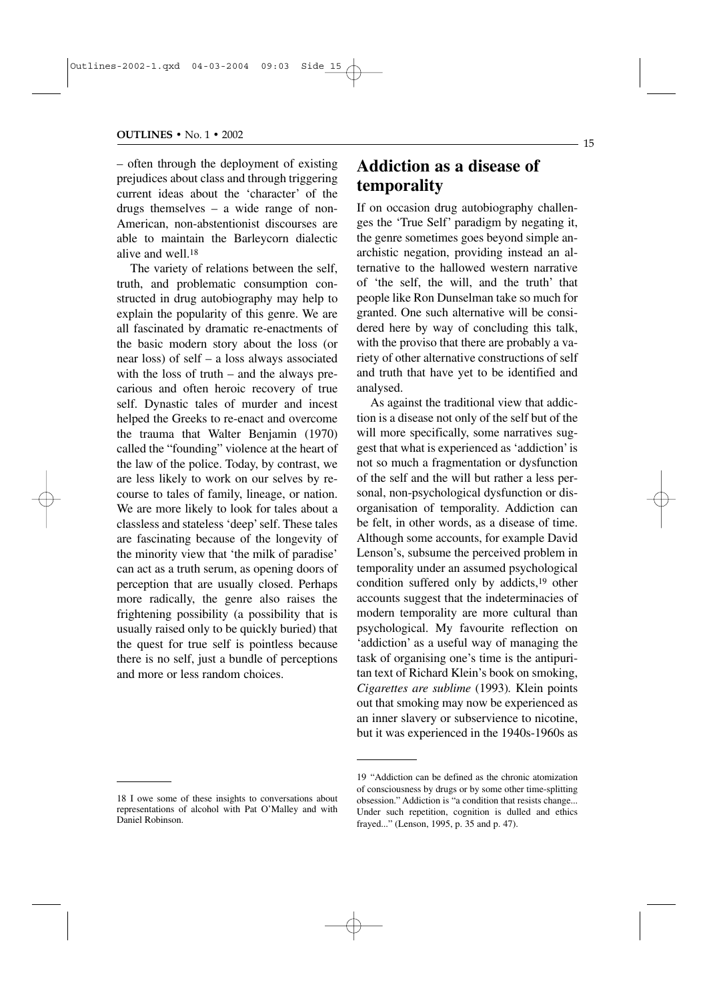– often through the deployment of existing prejudices about class and through triggering current ideas about the 'character' of the drugs themselves – a wide range of non-American, non-abstentionist discourses are able to maintain the Barleycorn dialectic alive and well.18

The variety of relations between the self, truth, and problematic consumption constructed in drug autobiography may help to explain the popularity of this genre. We are all fascinated by dramatic re-enactments of the basic modern story about the loss (or near loss) of self – a loss always associated with the loss of truth – and the always precarious and often heroic recovery of true self. Dynastic tales of murder and incest helped the Greeks to re-enact and overcome the trauma that Walter Benjamin (1970) called the "founding" violence at the heart of the law of the police. Today, by contrast, we are less likely to work on our selves by recourse to tales of family, lineage, or nation. We are more likely to look for tales about a classless and stateless 'deep' self. These tales are fascinating because of the longevity of the minority view that 'the milk of paradise' can act as a truth serum, as opening doors of perception that are usually closed. Perhaps more radically, the genre also raises the frightening possibility (a possibility that is usually raised only to be quickly buried) that the quest for true self is pointless because there is no self, just a bundle of perceptions and more or less random choices.

### **Addiction as a disease of temporality**

If on occasion drug autobiography challenges the 'True Self' paradigm by negating it, the genre sometimes goes beyond simple anarchistic negation, providing instead an alternative to the hallowed western narrative of 'the self, the will, and the truth' that people like Ron Dunselman take so much for granted. One such alternative will be considered here by way of concluding this talk, with the proviso that there are probably a variety of other alternative constructions of self and truth that have yet to be identified and analysed.

As against the traditional view that addiction is a disease not only of the self but of the will more specifically, some narratives suggest that what is experienced as 'addiction' is not so much a fragmentation or dysfunction of the self and the will but rather a less personal, non-psychological dysfunction or disorganisation of temporality. Addiction can be felt, in other words, as a disease of time. Although some accounts, for example David Lenson's, subsume the perceived problem in temporality under an assumed psychological condition suffered only by addicts,19 other accounts suggest that the indeterminacies of modern temporality are more cultural than psychological. My favourite reflection on 'addiction' as a useful way of managing the task of organising one's time is the antipuritan text of Richard Klein's book on smoking, *Cigarettes are sublime* (1993)*.* Klein points out that smoking may now be experienced as an inner slavery or subservience to nicotine, but it was experienced in the 1940s-1960s as

<sup>18</sup> I owe some of these insights to conversations about representations of alcohol with Pat O'Malley and with Daniel Robinson.

<sup>19 &</sup>quot;Addiction can be defined as the chronic atomization of consciousness by drugs or by some other time-splitting obsession." Addiction is "a condition that resists change... Under such repetition, cognition is dulled and ethics frayed..." (Lenson, 1995, p. 35 and p. 47).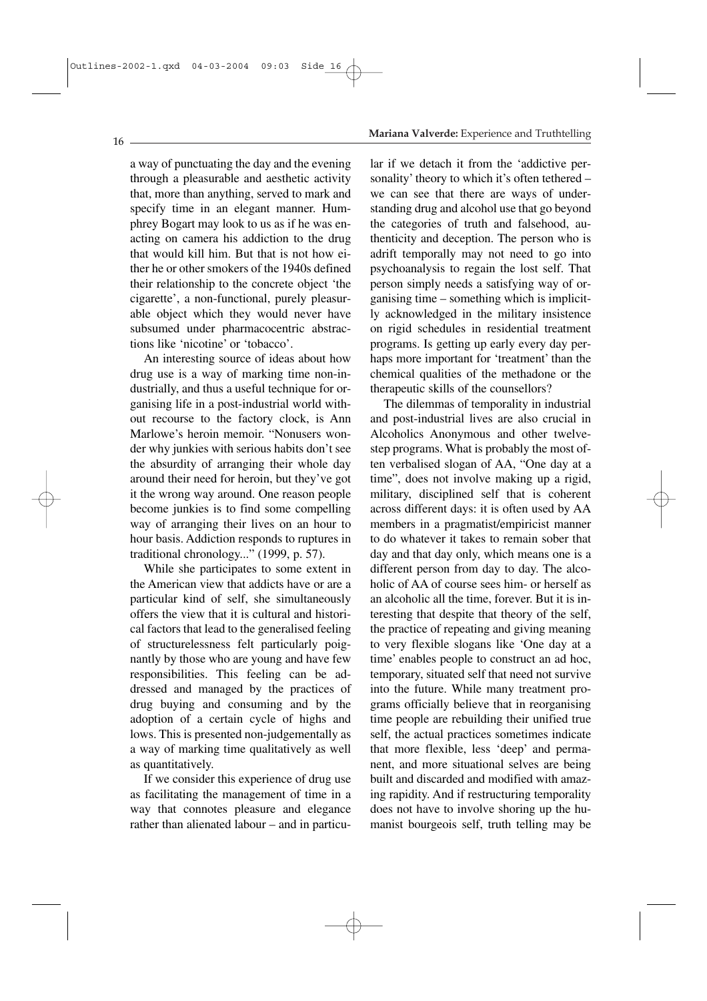a way of punctuating the day and the evening through a pleasurable and aesthetic activity that, more than anything, served to mark and specify time in an elegant manner. Humphrey Bogart may look to us as if he was enacting on camera his addiction to the drug that would kill him. But that is not how either he or other smokers of the 1940s defined their relationship to the concrete object 'the cigarette', a non-functional, purely pleasurable object which they would never have subsumed under pharmacocentric abstractions like 'nicotine' or 'tobacco'.

An interesting source of ideas about how drug use is a way of marking time non-industrially, and thus a useful technique for organising life in a post-industrial world without recourse to the factory clock, is Ann Marlowe's heroin memoir. "Nonusers wonder why junkies with serious habits don't see the absurdity of arranging their whole day around their need for heroin, but they've got it the wrong way around. One reason people become junkies is to find some compelling way of arranging their lives on an hour to hour basis. Addiction responds to ruptures in traditional chronology..." (1999, p. 57).

While she participates to some extent in the American view that addicts have or are a particular kind of self, she simultaneously offers the view that it is cultural and historical factors that lead to the generalised feeling of structurelessness felt particularly poignantly by those who are young and have few responsibilities. This feeling can be addressed and managed by the practices of drug buying and consuming and by the adoption of a certain cycle of highs and lows. This is presented non-judgementally as a way of marking time qualitatively as well as quantitatively.

If we consider this experience of drug use as facilitating the management of time in a way that connotes pleasure and elegance rather than alienated labour – and in particu-

#### **Mariana Valverde:** Experience and Truthtelling

lar if we detach it from the 'addictive personality' theory to which it's often tethered – we can see that there are ways of understanding drug and alcohol use that go beyond the categories of truth and falsehood, authenticity and deception. The person who is adrift temporally may not need to go into psychoanalysis to regain the lost self. That person simply needs a satisfying way of organising time – something which is implicitly acknowledged in the military insistence on rigid schedules in residential treatment programs. Is getting up early every day perhaps more important for 'treatment' than the chemical qualities of the methadone or the therapeutic skills of the counsellors?

The dilemmas of temporality in industrial and post-industrial lives are also crucial in Alcoholics Anonymous and other twelvestep programs. What is probably the most often verbalised slogan of AA, "One day at a time", does not involve making up a rigid, military, disciplined self that is coherent across different days: it is often used by AA members in a pragmatist/empiricist manner to do whatever it takes to remain sober that day and that day only, which means one is a different person from day to day. The alcoholic of AA of course sees him- or herself as an alcoholic all the time, forever. But it is interesting that despite that theory of the self, the practice of repeating and giving meaning to very flexible slogans like 'One day at a time' enables people to construct an ad hoc, temporary, situated self that need not survive into the future. While many treatment programs officially believe that in reorganising time people are rebuilding their unified true self, the actual practices sometimes indicate that more flexible, less 'deep' and permanent, and more situational selves are being built and discarded and modified with amazing rapidity. And if restructuring temporality does not have to involve shoring up the humanist bourgeois self, truth telling may be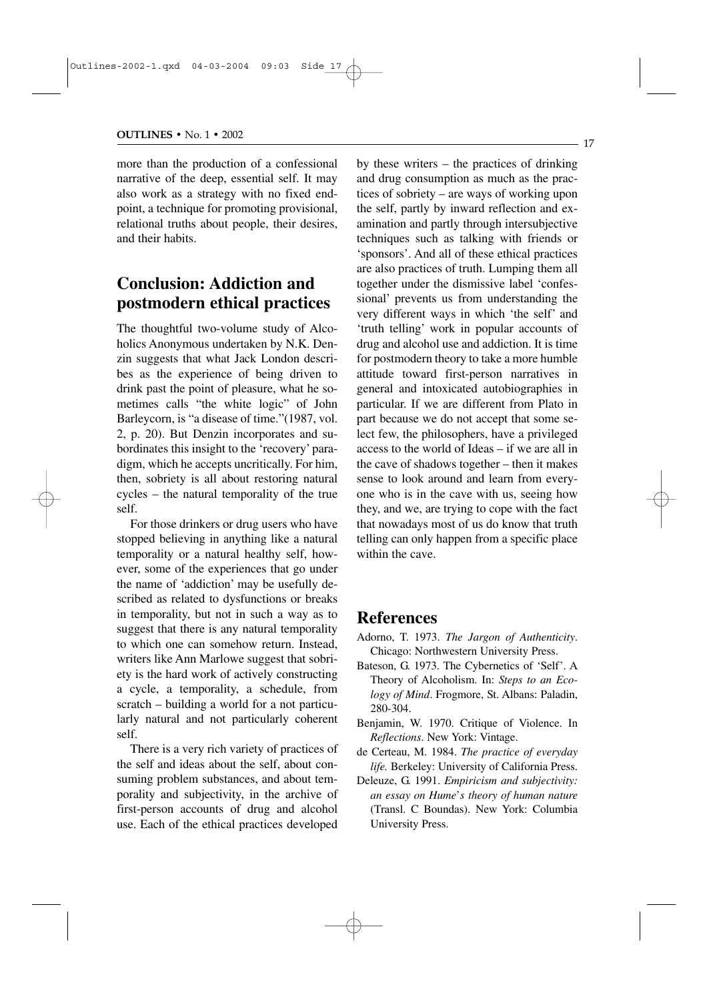more than the production of a confessional narrative of the deep, essential self. It may also work as a strategy with no fixed endpoint, a technique for promoting provisional, relational truths about people, their desires, and their habits.

### **Conclusion: Addiction and postmodern ethical practices**

The thoughtful two-volume study of Alcoholics Anonymous undertaken by N.K. Denzin suggests that what Jack London describes as the experience of being driven to drink past the point of pleasure, what he sometimes calls "the white logic" of John Barleycorn, is "a disease of time."(1987, vol. 2, p. 20). But Denzin incorporates and subordinates this insight to the 'recovery' paradigm, which he accepts uncritically. For him, then, sobriety is all about restoring natural cycles – the natural temporality of the true self.

For those drinkers or drug users who have stopped believing in anything like a natural temporality or a natural healthy self, however, some of the experiences that go under the name of 'addiction' may be usefully described as related to dysfunctions or breaks in temporality, but not in such a way as to suggest that there is any natural temporality to which one can somehow return. Instead, writers like Ann Marlowe suggest that sobriety is the hard work of actively constructing a cycle, a temporality, a schedule, from scratch – building a world for a not particularly natural and not particularly coherent self.

There is a very rich variety of practices of the self and ideas about the self, about consuming problem substances, and about temporality and subjectivity, in the archive of first-person accounts of drug and alcohol use. Each of the ethical practices developed by these writers – the practices of drinking and drug consumption as much as the practices of sobriety – are ways of working upon the self, partly by inward reflection and examination and partly through intersubjective techniques such as talking with friends or 'sponsors'. And all of these ethical practices are also practices of truth. Lumping them all together under the dismissive label 'confessional' prevents us from understanding the very different ways in which 'the self' and 'truth telling' work in popular accounts of drug and alcohol use and addiction. It is time for postmodern theory to take a more humble attitude toward first-person narratives in general and intoxicated autobiographies in particular. If we are different from Plato in part because we do not accept that some select few, the philosophers, have a privileged access to the world of Ideas – if we are all in the cave of shadows together – then it makes sense to look around and learn from everyone who is in the cave with us, seeing how they, and we, are trying to cope with the fact that nowadays most of us do know that truth telling can only happen from a specific place within the cave.

### **References**

- Adorno, T. 1973. *The Jargon of Authenticity*. Chicago: Northwestern University Press.
- Bateson, G. 1973. The Cybernetics of 'Self'. A Theory of Alcoholism. In: *Steps to an Ecology of Mind*. Frogmore, St. Albans: Paladin, 280-304.
- Benjamin, W. 1970. Critique of Violence. In *Reflections*. New York: Vintage.
- de Certeau, M. 1984. *The practice of everyday life.* Berkeley: University of California Press.
- Deleuze, G. 1991. *Empiricism and subjectivity: an essay on Hume*'*s theory of human nature* (Transl. C Boundas). New York: Columbia University Press.

- 17